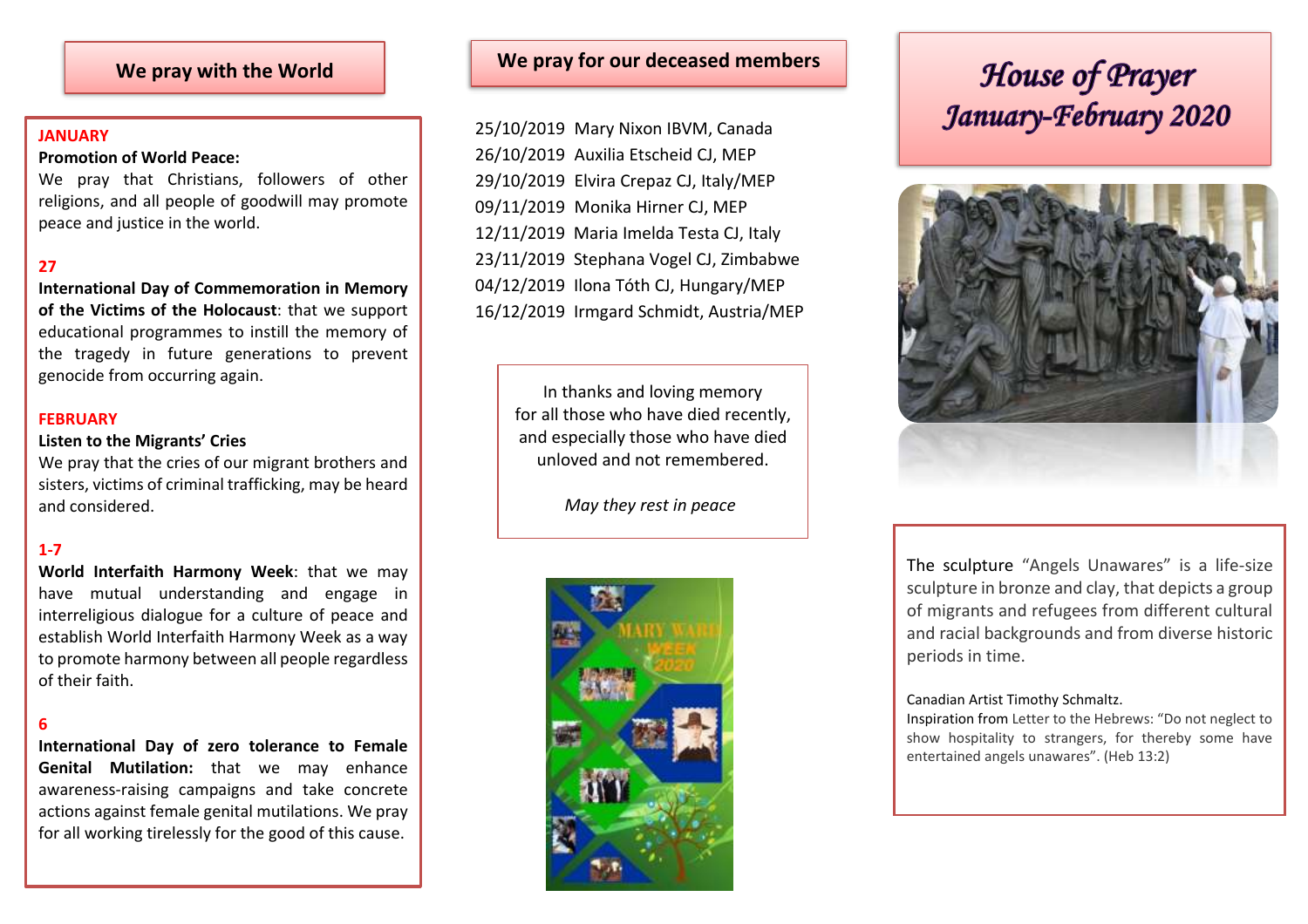#### **JANUARY**

#### **Promotion of World Peace:**

We pray that Christians, followers of other religions, and all people of goodwill may promote peace and justice in the world.

### **27**

**International Day of Commemoration in Memory of the Victims of the Holocaust**: that we support educational programmes to instill the memory of the tragedy in future generations to prevent genocide from occurring again.

#### **FEBRUARY**

#### **Listen to the Migrants' Cries**

We pray that the cries of our migrant brothers and sisters, victims of criminal trafficking, may be heard and considered.

#### **1-7**

**World Interfaith Harmony Week**: that we may have mutual understanding and engage in interreligious dialogue for a culture of peace and establish World Interfaith Harmony Week as a way to promote harmony between all people regardless of their faith.

#### **6**

**International Day of zero tolerance to Female Genital Mutilation:** that we may enhance awareness-raising campaigns and take concrete actions against female genital mutilations. We pray for all working tirelessly for the good of this cause.

## **We pray with the World We pray for our deceased members**

25/10/2019 Mary Nixon IBVM, Canada 26/10/2019 Auxilia Etscheid CJ, MEP 29/10/2019 Elvira Crepaz CJ, Italy/MEP 09/11/2019 Monika Hirner CJ, MEP 12/11/2019 Maria Imelda Testa CJ, Italy 23/11/2019 Stephana Vogel CJ, Zimbabwe 04/12/2019 Ilona Tóth CJ, Hungary/MEP 16/12/2019 Irmgard Schmidt, Austria/MEP

> In thanks and loving memory for all those who have died recently, and especially those who have died unloved and not remembered.

> > *May they rest in peace*



# House of Prayer January-February 2020



The sculpture "Angels Unawares" is a life-size sculpture in bronze and clay, that depicts a group of migrants and refugees from different cultural and racial backgrounds and from diverse historic periods in time.

#### Canadian Artist Timothy Schmaltz.

Inspiration from Letter to the Hebrews: "Do not neglect to show hospitality to strangers, for thereby some have entertained angels unawares". (Heb 13:2)